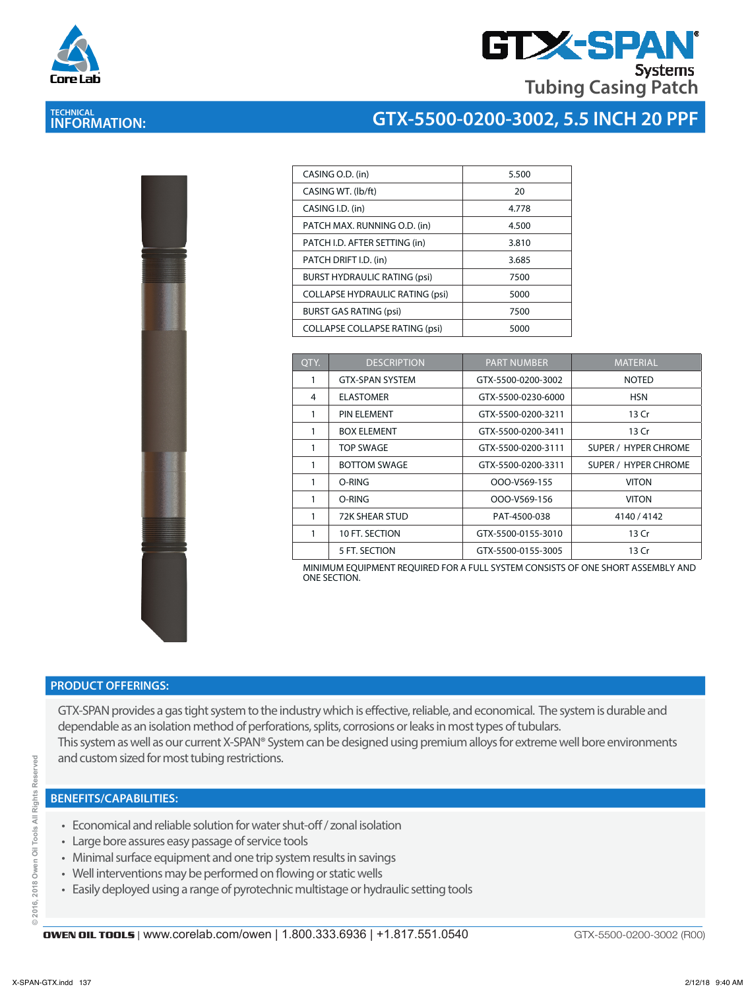

**TECHNICAL INFORMATION:** 

# **GTX-SPA Tubing Casing Patch**

## **GTX-5500-0200-3002, 5.5 INCH 20 PPF**

| CASING O.D. (in)                       | 5.500 |
|----------------------------------------|-------|
| CASING WT. (lb/ft)                     | 20    |
| CASING I.D. (in)                       | 4.778 |
| PATCH MAX. RUNNING O.D. (in)           | 4.500 |
| PATCH I.D. AFTER SETTING (in)          | 3.810 |
| PATCH DRIFT I.D. (in)                  | 3.685 |
| <b>BURST HYDRAULIC RATING (psi)</b>    | 7500  |
| <b>COLLAPSE HYDRAULIC RATING (psi)</b> | 5000  |
| <b>BURST GAS RATING (psi)</b>          | 7500  |
| <b>COLLAPSE COLLAPSE RATING (psi)</b>  | 5000  |
|                                        |       |

| OTY. | <b>DESCRIPTION</b>     | <b>PART NUMBER</b> | <b>MATERIAL</b>             |
|------|------------------------|--------------------|-----------------------------|
|      | <b>GTX-SPAN SYSTEM</b> | GTX-5500-0200-3002 | <b>NOTED</b>                |
| 4    | <b>ELASTOMER</b>       | GTX-5500-0230-6000 | <b>HSN</b>                  |
| 1    | <b>PIN ELEMENT</b>     | GTX-5500-0200-3211 | 13 Cr                       |
| 1    | <b>BOX ELEMENT</b>     | GTX-5500-0200-3411 | 13 Cr                       |
|      | <b>TOP SWAGE</b>       | GTX-5500-0200-3111 | SUPER / HYPER CHROME        |
| 1    | <b>BOTTOM SWAGE</b>    | GTX-5500-0200-3311 | <b>SUPER / HYPER CHROME</b> |
| 1    | O-RING                 | OOO-V569-155       | <b>VITON</b>                |
| 1    | O-RING                 | OOO-V569-156       | <b>VITON</b>                |
| 1    | 72K SHEAR STUD         | PAT-4500-038       | 4140 / 4142                 |
| 1    | 10 FT. SECTION         | GTX-5500-0155-3010 | 13 Cr                       |
|      | 5 FT. SECTION          | GTX-5500-0155-3005 | 13 Cr                       |

MINIMUM EQUIPMENT REQUIRED FOR A FULL SYSTEM CONSISTS OF ONE SHORT ASSEMBLY AND ONE SECTION.

#### **PRODUCT OFFERINGS:**

GTX-SPAN provides a gas tight system to the industry which is effective, reliable, and economical. The system is durable and dependable as an isolation method of perforations, splits, corrosions or leaks in most types of tubulars. This system as well as our current X-SPAN® System can be designed using premium alloys for extreme well bore environments and custom sized for most tubing restrictions.

- Economical and reliable solution for water shut-off / zonal isolation
- Large bore assures easy passage of service tools
- Minimal surface equipment and one trip system results in savings
- Well interventions may be performed on flowing or static wells
- Easily deployed using a range of pyrotechnic multistage or hydraulic setting tools

ă

GTX-5500-0200-3002 (R00)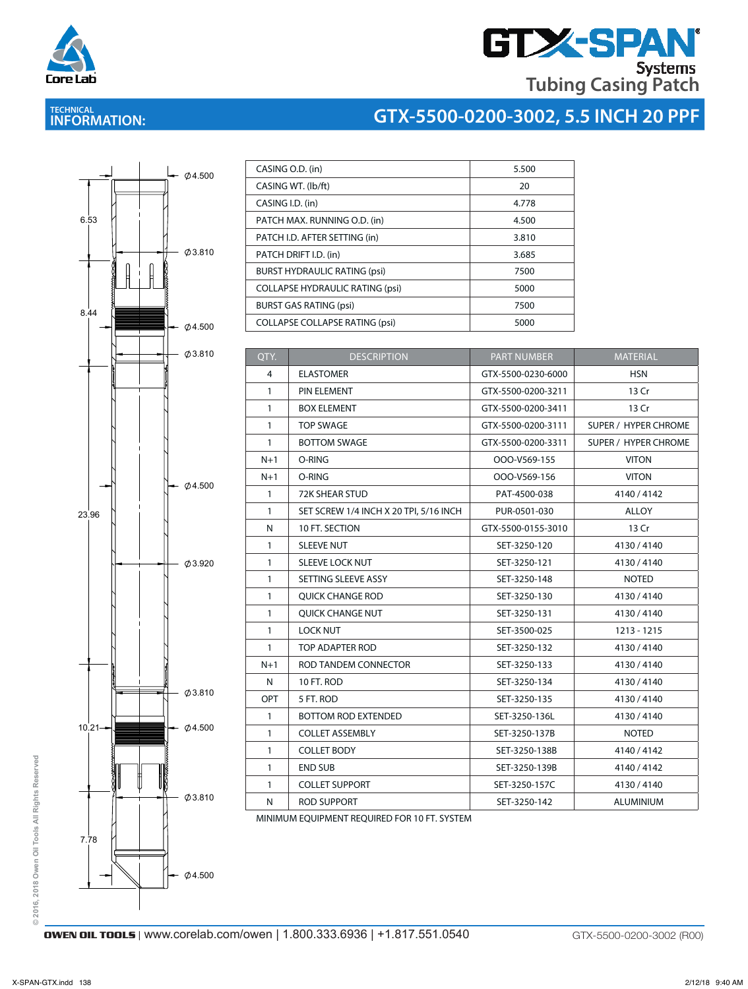

# **GTX-SPAN Tubing Casing Patch**

## **TECHNICAL INFORMATION:**

## **GTX-5500-0200-3002, 5.5 INCH 20 PPF**



| CASING O.D. (in)                       | 5.500 |
|----------------------------------------|-------|
| CASING WT. (lb/ft)                     | 20    |
| CASING I.D. (in)                       | 4.778 |
| PATCH MAX. RUNNING O.D. (in)           | 4.500 |
| PATCH I.D. AFTER SETTING (in)          | 3.810 |
| PATCH DRIFT I.D. (in)                  | 3.685 |
| <b>BURST HYDRAULIC RATING (psi)</b>    | 7500  |
| <b>COLLAPSE HYDRAULIC RATING (psi)</b> | 5000  |
| <b>BURST GAS RATING (psi)</b>          | 7500  |
| <b>COLLAPSE COLLAPSE RATING (psi)</b>  | 5000  |

| QTY.         | <b>DESCRIPTION</b>                     | <b>PART NUMBER</b> | <b>MATERIAL</b>             |
|--------------|----------------------------------------|--------------------|-----------------------------|
| 4            | <b>ELASTOMER</b>                       | GTX-5500-0230-6000 | <b>HSN</b>                  |
| $\mathbf{1}$ | PIN ELEMENT                            | GTX-5500-0200-3211 | 13 Cr                       |
| $\mathbf{1}$ | <b>BOX ELEMENT</b>                     | GTX-5500-0200-3411 | 13 Cr                       |
| $\mathbf{1}$ | <b>TOP SWAGE</b>                       | GTX-5500-0200-3111 | <b>SUPER / HYPER CHROME</b> |
| $\mathbf{1}$ | <b>BOTTOM SWAGE</b>                    | GTX-5500-0200-3311 | SUPER / HYPER CHROME        |
| $N+1$        | O-RING                                 | OOO-V569-155       | <b>VITON</b>                |
| $N+1$        | O-RING                                 | OOO-V569-156       | <b>VITON</b>                |
| $\mathbf{1}$ | <b>72K SHEAR STUD</b>                  | PAT-4500-038       | 4140 / 4142                 |
| $\mathbf{1}$ | SET SCREW 1/4 INCH X 20 TPI, 5/16 INCH | PUR-0501-030       | ALLOY                       |
| N            | 10 FT. SECTION                         | GTX-5500-0155-3010 | 13 Cr                       |
| $\mathbf{1}$ | <b>SLEEVE NUT</b>                      | SET-3250-120       | 4130/4140                   |
| $\mathbf{1}$ | <b>SLEEVE LOCK NUT</b>                 | SET-3250-121       | 4130/4140                   |
| $\mathbf{1}$ | SETTING SLEEVE ASSY                    | SET-3250-148       | <b>NOTED</b>                |
| $\mathbf{1}$ | <b>QUICK CHANGE ROD</b>                | SET-3250-130       | 4130/4140                   |
| $\mathbf{1}$ | QUICK CHANGE NUT                       | SET-3250-131       | 4130/4140                   |
| $\mathbf{1}$ | <b>LOCK NUT</b>                        | SET-3500-025       | 1213 - 1215                 |
| $\mathbf{1}$ | TOP ADAPTER ROD                        | SET-3250-132       | 4130/4140                   |
| $N+1$        | ROD TANDEM CONNECTOR                   | SET-3250-133       | 4130/4140                   |
| $\mathsf{N}$ | 10 FT. ROD                             | SET-3250-134       | 4130/4140                   |
| OPT          | 5 FT. ROD                              | SET-3250-135       | 4130/4140                   |
| $\mathbf{1}$ | <b>BOTTOM ROD EXTENDED</b>             | SET-3250-136L      | 4130/4140                   |
| $\mathbf{1}$ | <b>COLLET ASSEMBLY</b>                 | SET-3250-137B      | <b>NOTED</b>                |
| $\mathbf{1}$ | <b>COLLET BODY</b>                     | SET-3250-138B      | 4140 / 4142                 |
| $\mathbf{1}$ | <b>END SUB</b>                         | SET-3250-139B      | 4140 / 4142                 |
| $\mathbf{1}$ | <b>COLLET SUPPORT</b>                  | SET-3250-157C      | 4130/4140                   |
| N            | <b>ROD SUPPORT</b>                     | SET-3250-142       | <b>ALUMINIUM</b>            |

MINIMUM EQUIPMENT REQUIRED FOR 10 FT. SYSTEM N ROD SUPPORT SET-3250-142 ALUMINIUM

**© 2016, 2018 Owen Oil Tools All Rights Reserved**

 $@2016,$ 

2018 Owen Oil Tools All Rights Reserved